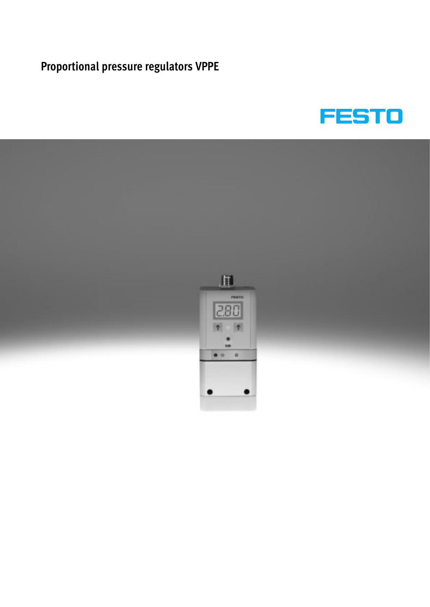

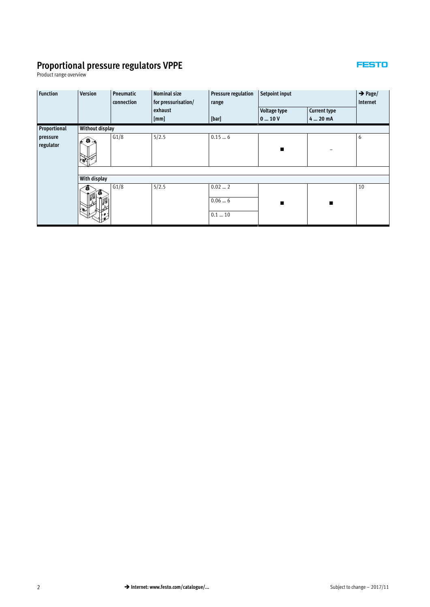#### **FESTO**

Product range overview

| <b>Function</b> | <b>Version</b>  | <b>Nominal size</b><br><b>Pneumatic</b><br>for pressurisation/<br>connection |         | <b>Pressure regulation</b><br>range | Setpoint input      | $\rightarrow$ Page/<br>Internet |    |
|-----------------|-----------------|------------------------------------------------------------------------------|---------|-------------------------------------|---------------------|---------------------------------|----|
|                 |                 |                                                                              | exhaust |                                     | <b>Voltage type</b> | <b>Current type</b>             |    |
|                 |                 |                                                                              | [mm]    | [bar]                               | 010V                | 4  20 mA                        |    |
| Proportional    | Without display |                                                                              |         |                                     |                     |                                 |    |
| pressure        | 6.              | G1/8                                                                         | 5/2.5   | 0.156                               |                     |                                 | 6  |
| regulator       |                 |                                                                              |         |                                     | п                   |                                 |    |
|                 |                 |                                                                              |         |                                     |                     |                                 |    |
|                 | With display    |                                                                              |         |                                     |                     |                                 |    |
|                 |                 | G1/8                                                                         | 5/2.5   | 0.022<br>0.066                      | $\blacksquare$      | п                               | 10 |
|                 |                 |                                                                              |         | 0.1  10                             |                     |                                 |    |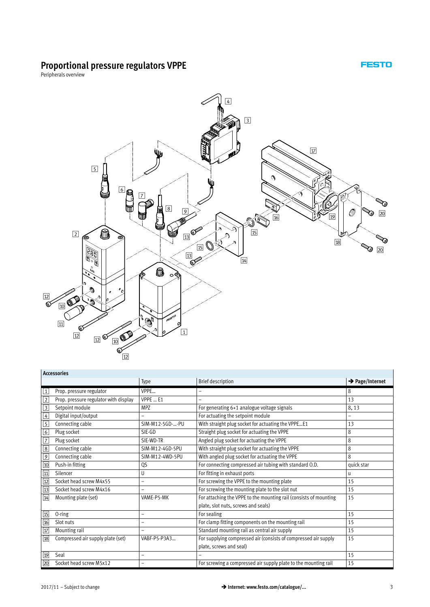**FESTO** 

Peripherals overview



|                         | <b>Accessories</b>                    |                          |                                                                   |                             |
|-------------------------|---------------------------------------|--------------------------|-------------------------------------------------------------------|-----------------------------|
|                         |                                       | Type                     | <b>Brief description</b>                                          | $\rightarrow$ Page/Internet |
| $1\,$                   | Prop. pressure regulator              | VPPE                     |                                                                   | 8                           |
| $\sqrt{2}$              | Prop. pressure regulator with display | VPPE  E1                 |                                                                   | 13                          |
| $\overline{\mathbf{3}}$ | Setpoint module                       | <b>MPZ</b>               | For generating 6+1 analogue voltage signals                       | 8,13                        |
| $\boxed{4}$             | Digital input/output                  |                          | For actuating the setpoint module                                 | $\qquad \qquad -$           |
| $\overline{5}$          | Connecting cable                      | SIM-M12-5GD--PU          | With straight plug socket for actuating the VPPEE1                | 13                          |
| $\boxed{6}$             | Plug socket                           | SIE-GD                   | Straight plug socket for actuating the VPPE                       | 8                           |
| $\sqrt{7}$              | Plug socket                           | SIE-WD-TR                | Angled plug socket for actuating the VPPE                         | 8                           |
| $\boxed{8}$             | Connecting cable                      | SIM-M12-4GD-5PU          | With straight plug socket for actuating the VPPE                  | 8                           |
| $\overline{9}$          | Connecting cable                      | SIM-M12-4WD-5PU          | With angled plug socket for actuating the VPPE                    | 8                           |
| $\boxed{10}$            | Push-in fitting                       | QS                       | For connecting compressed air tubing with standard O.D.           | quick star                  |
| $\overline{11}$         | Silencer                              | U                        | For fitting in exhaust ports                                      | u                           |
| $\boxed{12}$            | Socket head screw M4x55               |                          | For screwing the VPPE to the mounting plate                       | 15                          |
| $\overline{13}$         | Socket head screw M4x16               |                          | For screwing the mounting plate to the slot nut                   | 15                          |
| $\overline{14}$         | Mounting plate (set)                  | VAME-P5-MK               | For attaching the VPPE to the mounting rail (consists of mounting | 15                          |
|                         |                                       |                          | plate, slot nuts, screws and seals)                               |                             |
| $\overline{15}$         | 0-ring                                |                          | For sealing                                                       | 15                          |
| 16                      | Slot nuts                             | $\overline{\phantom{0}}$ | For clamp fitting components on the mounting rail                 | 15                          |
| $\overline{17}$         | Mounting rail                         |                          | Standard mounting rail as central air supply                      | 15                          |
| $\sqrt{18}$             | Compressed air supply plate (set)     | VABF-P5-P3A3             | For supplying compressed air (consists of compressed air supply   | 15                          |
|                         |                                       |                          | plate, screws and seal)                                           |                             |
| 19                      | Seal                                  | $\overline{a}$           |                                                                   | 15                          |
| $\overline{20}$         | Socket head screw M5x12               | -                        | For screwing a compressed air supply plate to the mounting rail   | 15                          |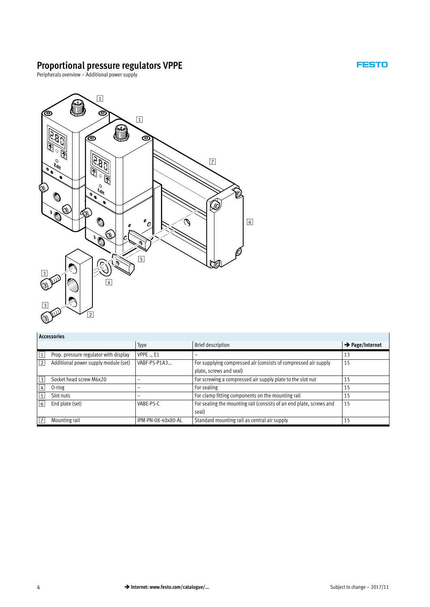**FESTO** 

l.

Peripherals overview – Additional power supply



**Accessories**

|              | , , , , , , , , , , , , , ,           |                    |                                                                     |                             |
|--------------|---------------------------------------|--------------------|---------------------------------------------------------------------|-----------------------------|
|              |                                       | Type               | <b>Brief description</b>                                            | $\rightarrow$ Page/Internet |
| $\mathbf{1}$ | Prop. pressure regulator with display | <b>VPPE  E1</b>    |                                                                     | 13                          |
| 2            | Additional power supply module (set)  | VABF-P5-P1A3       | For supplying compressed air (consists of compressed air supply     | 15                          |
|              |                                       |                    | plate, screws and seal)                                             |                             |
| 3            | Socket head screw M6x20               |                    | For screwing a compressed air supply plate to the slot nut          | 15                          |
| 4            | $0$ -ring                             | -                  | For sealing                                                         | 15                          |
| 5            | Slot nuts                             | -                  | For clamp fitting components on the mounting rail                   | 15                          |
| $ 6\rangle$  | End plate (set)                       | VABE-P5-C          | For sealing the mounting rail (consists of an end plate, screws and | 15                          |
|              |                                       |                    | seal)                                                               |                             |
| 7            | Mounting rail                         | IPM-PN-08-40x80-AL | Standard mounting rail as central air supply                        | 15                          |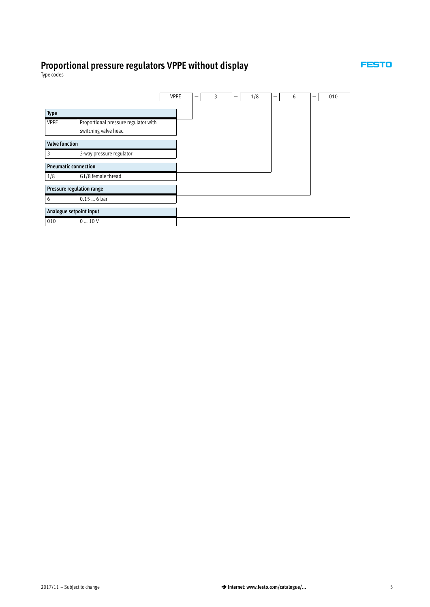

Type codes

|                             |                                      | <b>VPPE</b> |  | 3 | 1/8 | - | 6 | - | 010 |
|-----------------------------|--------------------------------------|-------------|--|---|-----|---|---|---|-----|
|                             |                                      |             |  |   |     |   |   |   |     |
| <b>Type</b>                 |                                      |             |  |   |     |   |   |   |     |
| <b>VPPE</b>                 | Proportional pressure regulator with |             |  |   |     |   |   |   |     |
|                             | switching valve head                 |             |  |   |     |   |   |   |     |
| <b>Valve function</b>       |                                      |             |  |   |     |   |   |   |     |
| 3                           | 3-way pressure regulator             |             |  |   |     |   |   |   |     |
| <b>Pneumatic connection</b> |                                      |             |  |   |     |   |   |   |     |
| 1/8                         | G1/8 female thread                   |             |  |   |     |   |   |   |     |
| Pressure regulation range   |                                      |             |  |   |     |   |   |   |     |
| 6                           | $0.156$ bar                          |             |  |   |     |   |   |   |     |
| Analogue setpoint input     |                                      |             |  |   |     |   |   |   |     |
| 010                         | $0 - 10V$                            |             |  |   |     |   |   |   |     |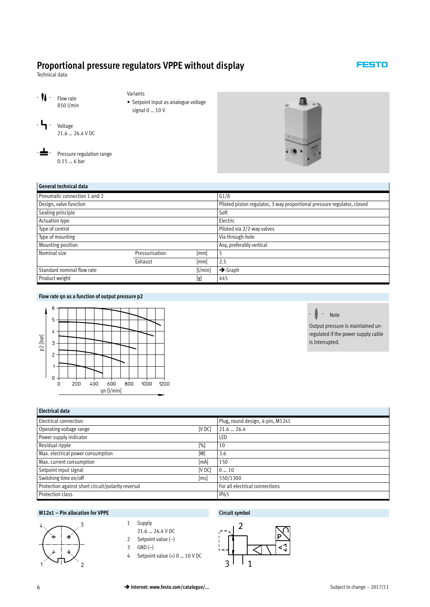<span id="page-5-0"></span>Technical data

- **N** - Flow rate 850 l/min

 $-$ **-**  $\blacksquare$  - Voltage

- Variants - Setpoint input as analogue voltage
	- signal 0 … 10 V

- $\triangle$ - Pressure regulation range 0.15 … 6 bar

21.6 … 26.4 V DC



**FESTO** 

| General technical data       |                |         |                                                                         |
|------------------------------|----------------|---------|-------------------------------------------------------------------------|
| Pneumatic connection 1 and 2 |                |         | G1/8                                                                    |
| Design, valve function       |                |         | Piloted piston regulator, 3-way proportional pressure regulator, closed |
| Sealing principle            |                |         | Soft                                                                    |
| <b>Actuation type</b>        |                |         | Electric                                                                |
| Type of control              |                |         | Piloted via 2/2-way valves                                              |
| Type of mounting             |                |         | Via through-hole                                                        |
| Mounting position            |                |         | Any, preferably vertical                                                |
| Nominal size                 | Pressurisation | [mm]    |                                                                         |
|                              | Exhaust        | [mm]    | 2.5                                                                     |
| Standard nominal flow rate   |                | [1/min] | $\rightarrow$ Graph                                                     |
| Product weight               |                | [g]     | 445                                                                     |

#### **Flow rate qn as a function of output pressure p2**



#### <u>⊫</u><br>█ੁੰ - Note

Output pressure is maintained unregulated if the power supply cable is interrupted.

| <b>Electrical data</b>                             |               |                                  |  |  |  |
|----------------------------------------------------|---------------|----------------------------------|--|--|--|
| <b>Electrical connection</b>                       |               | Plug, round design, 4-pin, M12x1 |  |  |  |
| Operating voltage range                            | <b>IV DCI</b> | $21.6 - 26.4$                    |  |  |  |
| Power supply indicator                             |               | LED                              |  |  |  |
| Residual ripple                                    | [%]           | 10                               |  |  |  |
| Max. electrical power consumption                  | [W]           | 3.6                              |  |  |  |
| Max. current consumption                           | [mA]          | 150                              |  |  |  |
| Setpoint input signal                              | <b>IV DCI</b> | 010                              |  |  |  |
| Switching time on/off                              | [ms]          | 550/1300                         |  |  |  |
| Protection against short circuit/polarity reversal |               | For all electrical connections   |  |  |  |
| Protection class                                   |               | <b>IP65</b>                      |  |  |  |

#### **M12x1 – Pin allocation for VPPE Circuit symbol**



- 1 Supply
- 21.6 … 26.4 V DC
- 2 Setpoint value (–)
- 3 GND (–)
- 4 Setpoint value (+) 0 … 10 V DC

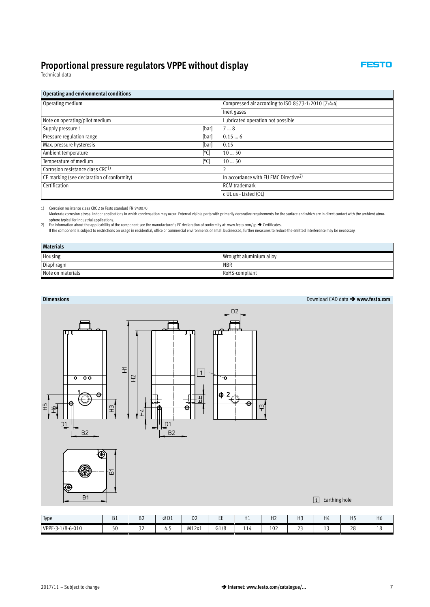FESTO

Technical data

#### **Operating and environmental conditions**

| Operating medium                             |       | Compressed air according to ISO 8573-1:2010 [7:4:4] |
|----------------------------------------------|-------|-----------------------------------------------------|
|                                              |       | Inert gases                                         |
| Note on operating/pilot medium               |       | Lubricated operation not possible                   |
| Supply pressure 1                            | [bar] | 78                                                  |
| Pressure regulation range                    | [bar] | 0.156                                               |
| Max. pressure hysteresis                     | [bar] | 0.15                                                |
| Ambient temperature                          | [°C]  | 1050                                                |
| Temperature of medium                        | [°C]  | 1050                                                |
| Corrosion resistance class CRC <sup>1)</sup> |       |                                                     |
| CE marking (see declaration of conformity)   |       | In accordance with EU EMC Directive <sup>2)</sup>   |
| Certification                                |       | <b>RCM</b> trademark                                |
|                                              |       | c UL us - Listed (OL)                               |

1) Corrosion resistance class CRC 2 to Festo standard FN 940070

Moderate corrosion stress. Indoor applications in which condensation may occur. External visible parts with primarily decorative requirements for the surface and which are in direct contact with the ambient atmo-

sphere typical for industrial applications.<br>2) For information about the applicability of the component see the manufacturer's EC declaration of conformity at: www.festo.com/sp → Certificates.

If the component is subject to restrictions on usage in residential, office or commercial environments or small businesses, further measures to reduce the emitted interference may be necessary.

| <b>Materials</b>  |                         |  |  |  |  |  |
|-------------------|-------------------------|--|--|--|--|--|
| Housing           | Wrought aluminium alloy |  |  |  |  |  |
| Diaphragm         | <b>NBR</b>              |  |  |  |  |  |
| Note on materials | RoHS-compliant          |  |  |  |  |  |

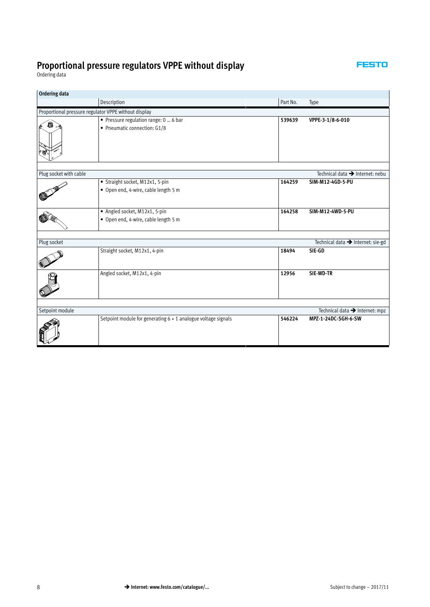**FESTO** 

<span id="page-7-0"></span>Ordering data

| <b>Ordering data</b>                                 |                                                                         |          |                                             |
|------------------------------------------------------|-------------------------------------------------------------------------|----------|---------------------------------------------|
|                                                      | Description                                                             | Part No. | Type                                        |
| Proportional pressure regulator VPPE without display |                                                                         |          |                                             |
| Ô                                                    | · Pressure regulation range: 0  6 bar<br>• Pneumatic connection: G1/8   | 539639   | VPPE-3-1/8-6-010                            |
|                                                      |                                                                         |          |                                             |
| Plug socket with cable                               |                                                                         |          | Technical data $\rightarrow$ Internet: nebu |
|                                                      | • Straight socket, M12x1, 5-pin<br>• Open end, 4-wire, cable length 5 m | 164259   | SIM-M12-4GD-5-PU                            |
|                                                      | • Angled socket, M12x1, 5-pin                                           | 164258   | SIM-M12-4WD-5-PU                            |
|                                                      | • Open end, 4-wire, cable length 5 m                                    |          |                                             |
|                                                      |                                                                         |          |                                             |
| Plug socket                                          |                                                                         |          | Technical data → Internet: sie-gd           |
|                                                      | Straight socket, M12x1, 4-pin                                           | 18494    | SIE-GD                                      |
|                                                      | Angled socket, M12x1, 4-pin                                             | 12956    | SIE-WD-TR                                   |
|                                                      |                                                                         |          |                                             |
| Setpoint module                                      |                                                                         |          | Technical data $\rightarrow$ Internet: mpz  |
|                                                      | Setpoint module for generating $6 + 1$ analogue voltage signals         | 546224   | MPZ-1-24DC-SGH-6-SW                         |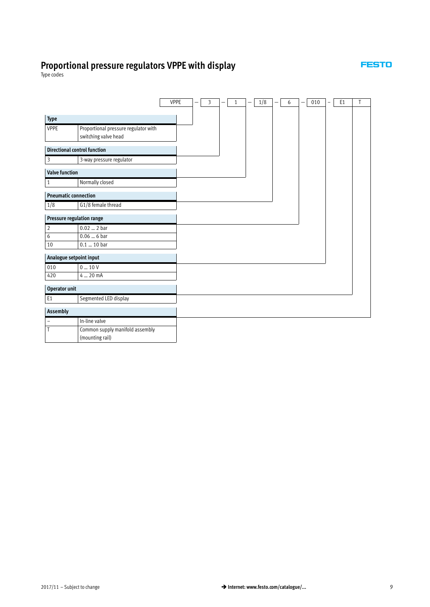

Type codes

|                                     |                                      | <b>VPPE</b> | - | 3 | - | $\mathbf{1}$ | — | 1/8 | 6 | 010 | $\overline{a}$ | E <sub>1</sub> | T |
|-------------------------------------|--------------------------------------|-------------|---|---|---|--------------|---|-----|---|-----|----------------|----------------|---|
|                                     |                                      |             |   |   |   |              |   |     |   |     |                |                |   |
| Type                                |                                      |             |   |   |   |              |   |     |   |     |                |                |   |
| <b>VPPE</b>                         | Proportional pressure regulator with |             |   |   |   |              |   |     |   |     |                |                |   |
|                                     | switching valve head                 |             |   |   |   |              |   |     |   |     |                |                |   |
| <b>Directional control function</b> |                                      |             |   |   |   |              |   |     |   |     |                |                |   |
| 3                                   | 3-way pressure regulator             |             |   |   |   |              |   |     |   |     |                |                |   |
| <b>Valve function</b>               |                                      |             |   |   |   |              |   |     |   |     |                |                |   |
| $\mathbf{1}$                        | Normally closed                      |             |   |   |   |              |   |     |   |     |                |                |   |
| <b>Pneumatic connection</b>         |                                      |             |   |   |   |              |   |     |   |     |                |                |   |
| 1/8                                 | G1/8 female thread                   |             |   |   |   |              |   |     |   |     |                |                |   |
| Pressure regulation range           |                                      |             |   |   |   |              |   |     |   |     |                |                |   |
| $\overline{c}$                      | $0.02$ 2 bar                         |             |   |   |   |              |   |     |   |     |                |                |   |
| 6                                   | $0.06 - 6$ bar                       |             |   |   |   |              |   |     |   |     |                |                |   |
| 10                                  | 0.1  10 bar                          |             |   |   |   |              |   |     |   |     |                |                |   |
| Analogue setpoint input             |                                      |             |   |   |   |              |   |     |   |     |                |                |   |
| 010                                 | $0 - 10V$                            |             |   |   |   |              |   |     |   |     |                |                |   |
| 420                                 | $4 - 20$ mA                          |             |   |   |   |              |   |     |   |     |                |                |   |
| Operator unit                       |                                      |             |   |   |   |              |   |     |   |     |                |                |   |
| E <sub>1</sub>                      | Segmented LED display                |             |   |   |   |              |   |     |   |     |                |                |   |
| Assembly                            |                                      |             |   |   |   |              |   |     |   |     |                |                |   |
| $\overline{\phantom{a}}$            | In-line valve                        |             |   |   |   |              |   |     |   |     |                |                |   |
| T                                   | Common supply manifold assembly      |             |   |   |   |              |   |     |   |     |                |                |   |
|                                     | (mounting rail)                      |             |   |   |   |              |   |     |   |     |                |                |   |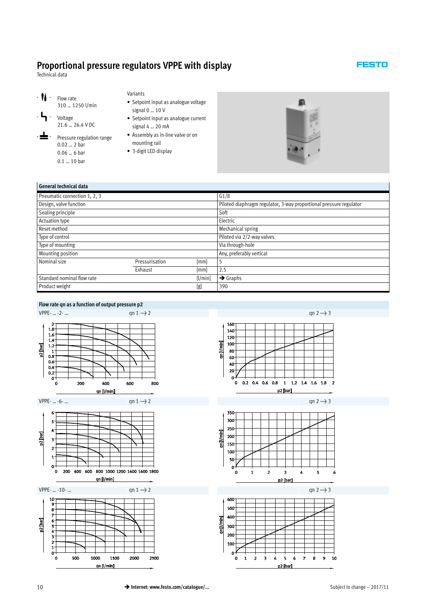<span id="page-9-0"></span>Technical data





21.6 … 26.4 V DC Pressure regulation range 0.02 … 2 bar 0.06 … 6 bar

0.1 … 10 bar

Variants

- Setpoint input as analogue voltage signal 0 … 10 V
- Setpoint input as analogue current signal 4 … 20 mA
- Assembly as in-line valve or on mounting rail
- 3-digit LED display



**FESTO** 

| General technical data       |                |         |                                                                    |
|------------------------------|----------------|---------|--------------------------------------------------------------------|
| Pneumatic connection 1, 2, 3 |                |         | G1/8                                                               |
| Design, valve function       |                |         | Piloted diaphragm regulator, 3-way proportional pressure regulator |
| Sealing principle            |                |         | Soft                                                               |
| Actuation type               |                |         | Electric                                                           |
| Reset method                 |                |         | Mechanical spring                                                  |
| Type of control              |                |         | Piloted via 2/2-way valves                                         |
| Type of mounting             |                |         | Via through-hole                                                   |
| Mounting position            |                |         | Any, preferably vertical                                           |
| Nominal size                 | Pressurisation | [mm]    |                                                                    |
|                              | Exhaust        | [mm]    | 2.5                                                                |
| Standard nominal flow rate   |                | [1/min] | $\rightarrow$ Graphs                                               |
| Product weight               |                | [g]     | 390                                                                |

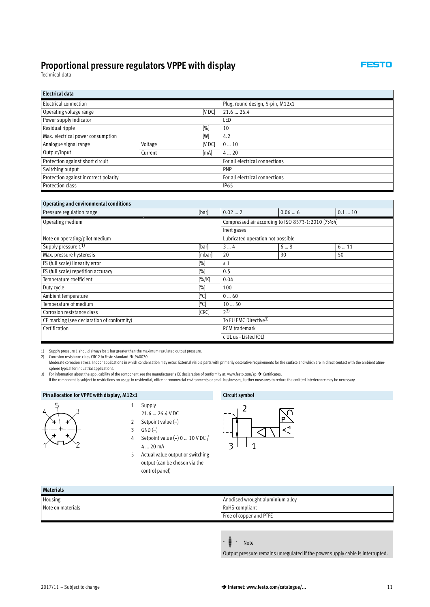FESTO

Technical data

 $\mathbf{r}$ 

| <b>Electrical data</b>                |         |        |                                  |
|---------------------------------------|---------|--------|----------------------------------|
| Electrical connection                 |         |        | Plug, round design, 5-pin, M12x1 |
| Operating voltage range               |         | [V DC] | $21.6 - 26.4$                    |
| Power supply indicator                |         |        | LED                              |
| Residual ripple                       |         | [%]    | 10                               |
| Max. electrical power consumption     |         | [W]    | 4.2                              |
| Analogue signal range                 | Voltage | [V DC] | 010                              |
| Output/input                          | Current | [mA]   | $4 - 20$                         |
| Protection against short circuit      |         |        | For all electrical connections   |
| Switching output                      |         |        | <b>PNP</b>                       |
| Protection against incorrect polarity |         |        | For all electrical connections   |
| Protection class                      |         |        | <b>IP65</b>                      |

#### **Operating and environmental conditions**

| operating and environmental conditions<br>Pressure regulation range<br>[bar] |                                                     | $0.02 - 2$            | 0.066 | $0.1 - 10$ |  |  |  |
|------------------------------------------------------------------------------|-----------------------------------------------------|-----------------------|-------|------------|--|--|--|
| Operating medium                                                             | Compressed air according to ISO 8573-1:2010 [7:4:4] |                       |       |            |  |  |  |
|                                                                              |                                                     | Inert gases           |       |            |  |  |  |
| Note on operating/pilot medium                                               | Lubricated operation not possible                   |                       |       |            |  |  |  |
| Supply pressure 1 <sup>1)</sup>                                              | [bar]                                               |                       |       | 611        |  |  |  |
| Max. pressure hysteresis                                                     | [mbar]                                              | 20                    | 30    | 50         |  |  |  |
| FS (full scale) linearity error                                              | ±1                                                  |                       |       |            |  |  |  |
| FS (full scale) repetition accuracy                                          | 0.5                                                 |                       |       |            |  |  |  |
| Temperature coefficient                                                      | 0.04                                                |                       |       |            |  |  |  |
| Duty cycle                                                                   | 100                                                 |                       |       |            |  |  |  |
| Ambient temperature                                                          | 060                                                 |                       |       |            |  |  |  |
| Temperature of medium                                                        | 1050                                                |                       |       |            |  |  |  |
| Corrosion resistance class                                                   | $2^{2}$                                             |                       |       |            |  |  |  |
| CE marking (see declaration of conformity)                                   | To EU EMC Directive <sup>3)</sup>                   |                       |       |            |  |  |  |
| Certification                                                                | <b>RCM</b> trademark                                |                       |       |            |  |  |  |
|                                                                              |                                                     | c UL us - Listed (OL) |       |            |  |  |  |

1) Supply pressure 1 should always be 1 bar greater than the maximum regulated output pressure. 2) Corrosion resistance class CRC 2 to Festo standard FN 940070

Moderate corrosion stress. Indoor applications in which condensation may occur. External visible parts with primarily decorative requirements for the surface and which are in direct contact with the ambient atmosphere typical for industrial applications.

3) For information about the applicability of the component see the manufacturer's EC declaration of conformity at: www.festo.com/sp  $\rightarrow$  Certificates.

If the component is subject to restrictions on usage in residential, office or commercial environments or small businesses, further measures to reduce the emitted interference may be necessary.

#### **Pin allocation for VPPE with display, M12x1 Circuit symbol**



**Materials**

- 1 Supply 21.6 … 26.4 V DC
- 2 Setpoint value (–)
- 3 GND (–)
- 4 Setpoint value (+) 0 … 10 V DC / 4 … 20 mA
- 5 Actual value output or switching output (can be chosen via the control panel)



| materials         |                                  |
|-------------------|----------------------------------|
| Housing           | Anodised wrought aluminium alloy |
| Note on materials | RoHS-compliant                   |
|                   | Free of copper and PTFE          |
|                   |                                  |

Output pressure remains unregulated if the power supply cable is interrupted.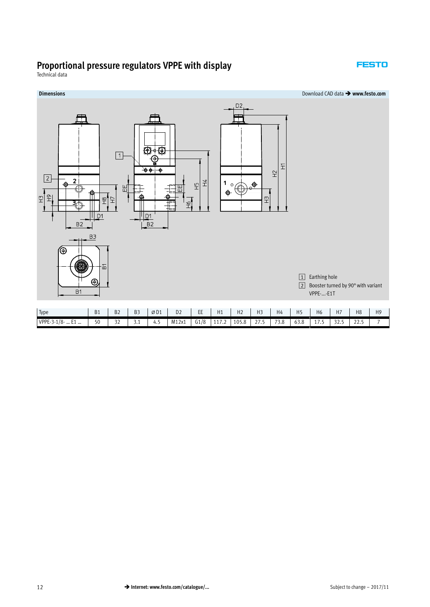#### **FESTO**

Technical data

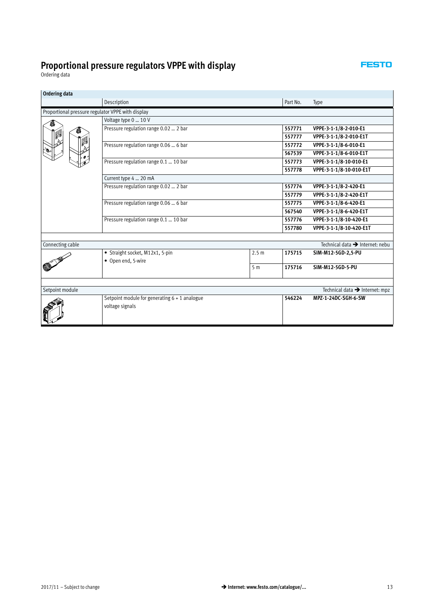**FESTO** 

 $\overline{a}$ 

<span id="page-12-0"></span>Ordering data

| Description                                                        |                  |                       |                                             |
|--------------------------------------------------------------------|------------------|-----------------------|---------------------------------------------|
|                                                                    |                  | Part No.              | Type                                        |
| Proportional pressure regulator VPPE with display                  |                  |                       |                                             |
| Voltage type 0  10 V                                               |                  |                       |                                             |
| Pressure regulation range 0.02  2 bar                              |                  | 557771                | VPPE-3-1-1/8-2-010-E1                       |
|                                                                    |                  | 557777                | VPPE-3-1-1/8-2-010-E1T                      |
| Pressure regulation range 0.06  6 bar                              |                  | 557772                | VPPE-3-1-1/8-6-010-E1                       |
|                                                                    |                  | 567539                | VPPE-3-1-1/8-6-010-E1T                      |
| Pressure regulation range 0.1  10 bar                              |                  | 557773                | VPPE-3-1-1/8-10-010-E1                      |
|                                                                    |                  | 557778                | VPPE-3-1-1/8-10-010-E1T                     |
| Current type 4  20 mA                                              |                  |                       |                                             |
| Pressure regulation range 0.02  2 bar                              |                  | 557774                | VPPE-3-1-1/8-2-420-E1                       |
|                                                                    |                  | 557779                | VPPE-3-1-1/8-2-420-E1T                      |
| Pressure regulation range 0.06  6 bar                              | 557775           | VPPE-3-1-1/8-6-420-E1 |                                             |
|                                                                    |                  | 567540                | VPPE-3-1-1/8-6-420-E1T                      |
| Pressure regulation range 0.1  10 bar                              |                  | 557776                | VPPE-3-1-1/8-10-420-E1                      |
|                                                                    |                  | 557780                | VPPE-3-1-1/8-10-420-E1T                     |
|                                                                    |                  |                       |                                             |
|                                                                    |                  |                       | Technical data $\rightarrow$ Internet: nebu |
| • Straight socket, M12x1, 5-pin                                    | 2.5 <sub>m</sub> | 175715                | SIM-M12-5GD-2,5-PU                          |
| • Open end, 5-wire                                                 |                  |                       |                                             |
|                                                                    |                  |                       | SIM-M12-5GD-5-PU                            |
|                                                                    |                  |                       |                                             |
|                                                                    |                  |                       | Technical data → Internet: mpz              |
| Setpoint module for generating $6 + 1$ analogue<br>voltage signals |                  | 546224                | MPZ-1-24DC-SGH-6-SW                         |
|                                                                    |                  | 5 <sub>m</sub>        | 175716                                      |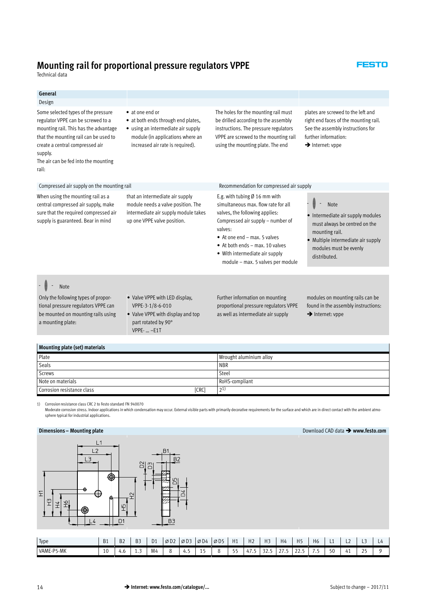## **Mounting rail for proportional pressure regulators VPPE**

Technical data

| General<br>Design                                                                                                                                                                                                                                          |                                                                                                                                                                     |                                                                                                                                                                                                                                                                                                                              |                                                                                                                                                                                     |  |  |
|------------------------------------------------------------------------------------------------------------------------------------------------------------------------------------------------------------------------------------------------------------|---------------------------------------------------------------------------------------------------------------------------------------------------------------------|------------------------------------------------------------------------------------------------------------------------------------------------------------------------------------------------------------------------------------------------------------------------------------------------------------------------------|-------------------------------------------------------------------------------------------------------------------------------------------------------------------------------------|--|--|
| Some selected types of the pressure<br>regulator VPPE can be screwed to a<br>mounting rail. This has the advantage<br>that the mounting rail can be used to<br>create a central compressed air<br>supply.<br>The air can be fed into the mounting<br>rail: | • at one end or<br>• at both ends through end plates,<br>• using an intermediate air supply<br>module (in applications where an<br>increased air rate is required). | The holes for the mounting rail must<br>be drilled according to the assembly<br>instructions. The pressure regulators<br>VPPE are screwed to the mounting rail<br>using the mounting plate. The end                                                                                                                          | plates are screwed to the left and<br>right end faces of the mounting rail.<br>See the assembly instructions for<br>further information:<br>$\rightarrow$ Internet: vppe            |  |  |
| Compressed air supply on the mounting rail                                                                                                                                                                                                                 |                                                                                                                                                                     | Recommendation for compressed air supply                                                                                                                                                                                                                                                                                     |                                                                                                                                                                                     |  |  |
| When using the mounting rail as a<br>central compressed air supply, make<br>sure that the required compressed air<br>supply is guaranteed. Bear in mind                                                                                                    | that an intermediate air supply<br>module needs a valve position. The<br>intermediate air supply module takes<br>up one VPPE valve position.                        | E.g. with tubing $\varnothing$ 16 mm with<br>simultaneous max. flow rate for all<br>valves, the following applies:<br>Compressed air supply - number of<br>valves:<br>$\bullet$ At one end – max, 5 valves<br>$\bullet$ At both ends – max, 10 valves<br>• With intermediate air supply<br>module - max. 5 valves per module | <b>Note</b><br>• Intermediate air supply modules<br>must always be centred on the<br>mounting rail.<br>• Multiple intermediate air supply<br>modules must be evenly<br>distributed. |  |  |
| <b>Note</b><br>Only the following types of propor-<br>tional pressure regulators VPPE can<br>be mounted on mounting rails using<br>a mounting plate:                                                                                                       | • Valve VPPE with LED display.<br>VPPE-3-1/8-6-010<br>• Valve VPPE with display and top<br>part rotated by 90°<br>VPPE-  -E1T                                       | Further information on mounting<br>proportional pressure regulators VPPE<br>as well as intermediate air supply                                                                                                                                                                                                               | modules on mounting rails can be<br>found in the assembly instructions:<br>$\rightarrow$ Internet: vppe                                                                             |  |  |
| Mounting plate (set) materials                                                                                                                                                                                                                             |                                                                                                                                                                     |                                                                                                                                                                                                                                                                                                                              |                                                                                                                                                                                     |  |  |

| .<br>____                           |                         |
|-------------------------------------|-------------------------|
| Plate                               | Wrought aluminium alloy |
| Seals                               | <b>NBR</b>              |
| Screws                              | Steel                   |
| Note on materials                   | RoHS-compliant          |
| [CRC]<br>Corrosion resistance class | $\mathcal{D}1$          |

1) Corrosion resistance class CRC 2 to Festo standard FN 940070

Moderate corrosion stress. Indoor applications in which condensation may occur. External visible parts with primarily decorative requirements for the surface and which are in direct contact with the ambient atmo-<br>sphere ty

#### **Dimensions – Mounting plate**



| $\rightarrow$<br>lype | <b>B1</b> | <b>B2</b> | B <sub>3</sub> | D <sub>1</sub> | $\varnothing$ D <sub>2</sub> | ØD3 | $\varnothing$ D4 | $0^{\circ}$ | H1 | H <sub>2</sub> | H <sub>3</sub> | H4                          | $\mathbf{r}$<br><b></b> | H <sub>6</sub> | --           | . .<br>ᄂᄼ | - -                          | $-4$ |
|-----------------------|-----------|-----------|----------------|----------------|------------------------------|-----|------------------|-------------|----|----------------|----------------|-----------------------------|-------------------------|----------------|--------------|-----------|------------------------------|------|
| VAME-P5-MK            | 10<br>ΙU  | 4.C       | ر د ک          | .<br>M4        | ╰                            | 4.1 |                  |             | -  | 4<br>.         | ົ<br>ر د کال   | $\sim$ $-$<br><u>_, , ,</u> | $\sim$                  |                | $\sim$<br>しい | 41        | $\sim$ $\sim$<br><u>. . </u> |      |

**Download CAD data → www.festo.com** 

#### **FESTO**